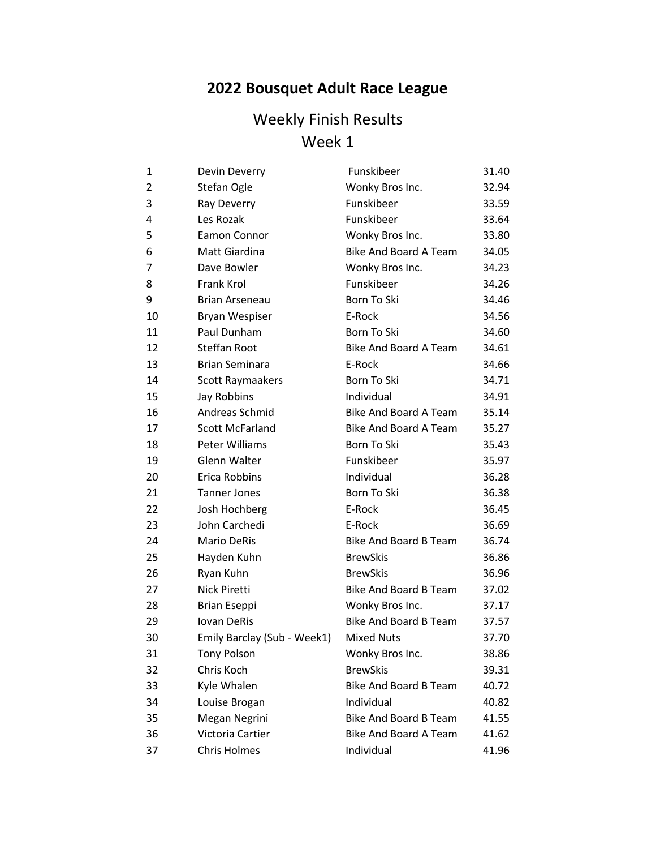# **2022 Bousquet Adult Race League**

| 1              | Devin Deverry               | Funskibeer                   | 31.40 |
|----------------|-----------------------------|------------------------------|-------|
| $\overline{2}$ | Stefan Ogle                 | Wonky Bros Inc.              | 32.94 |
| 3              | Ray Deverry                 | Funskibeer                   | 33.59 |
| 4              | Les Rozak                   | Funskibeer                   | 33.64 |
| 5              | <b>Eamon Connor</b>         | Wonky Bros Inc.              | 33.80 |
| 6              | Matt Giardina               | <b>Bike And Board A Team</b> | 34.05 |
| 7              | Dave Bowler                 | Wonky Bros Inc.              | 34.23 |
| 8              | Frank Krol                  | Funskibeer                   | 34.26 |
| 9              | <b>Brian Arseneau</b>       | Born To Ski                  | 34.46 |
| 10             | Bryan Wespiser              | E-Rock                       | 34.56 |
| 11             | Paul Dunham                 | Born To Ski                  | 34.60 |
| 12             | <b>Steffan Root</b>         | <b>Bike And Board A Team</b> | 34.61 |
| 13             | <b>Brian Seminara</b>       | E-Rock                       | 34.66 |
| 14             | Scott Raymaakers            | Born To Ski                  | 34.71 |
| 15             | Jay Robbins                 | Individual                   | 34.91 |
| 16             | Andreas Schmid              | <b>Bike And Board A Team</b> | 35.14 |
| 17             | <b>Scott McFarland</b>      | <b>Bike And Board A Team</b> | 35.27 |
| 18             | Peter Williams              | Born To Ski                  | 35.43 |
| 19             | Glenn Walter                | Funskibeer                   | 35.97 |
| 20             | Erica Robbins               | Individual                   | 36.28 |
| 21             | <b>Tanner Jones</b>         | Born To Ski                  | 36.38 |
| 22             | Josh Hochberg               | E-Rock                       | 36.45 |
| 23             | John Carchedi               | E-Rock                       | 36.69 |
| 24             | <b>Mario DeRis</b>          | <b>Bike And Board B Team</b> | 36.74 |
| 25             | Hayden Kuhn                 | <b>BrewSkis</b>              | 36.86 |
| 26             | Ryan Kuhn                   | <b>BrewSkis</b>              | 36.96 |
| 27             | <b>Nick Piretti</b>         | <b>Bike And Board B Team</b> | 37.02 |
| 28             | <b>Brian Eseppi</b>         | Wonky Bros Inc.              | 37.17 |
| 29             | <b>Iovan DeRis</b>          | <b>Bike And Board B Team</b> | 37.57 |
| 30             | Emily Barclay (Sub - Week1) | <b>Mixed Nuts</b>            | 37.70 |
| 31             | <b>Tony Polson</b>          | Wonky Bros Inc.              | 38.86 |
| 32             | Chris Koch                  | <b>BrewSkis</b>              | 39.31 |
| 33             | Kyle Whalen                 | <b>Bike And Board B Team</b> | 40.72 |
| 34             | Louise Brogan               | Individual                   | 40.82 |
| 35             | Megan Negrini               | <b>Bike And Board B Team</b> | 41.55 |
| 36             | Victoria Cartier            | <b>Bike And Board A Team</b> | 41.62 |
| 37             | <b>Chris Holmes</b>         | Individual                   | 41.96 |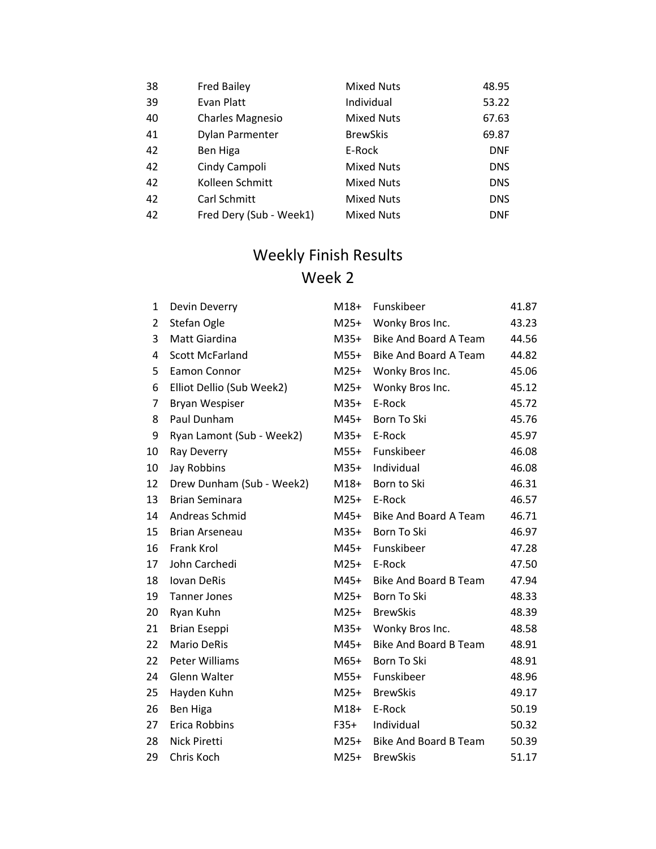| 38 | <b>Fred Bailey</b>      | <b>Mixed Nuts</b> | 48.95      |
|----|-------------------------|-------------------|------------|
| 39 | Evan Platt              | Individual        | 53.22      |
| 40 | <b>Charles Magnesio</b> | <b>Mixed Nuts</b> | 67.63      |
| 41 | Dylan Parmenter         | <b>BrewSkis</b>   | 69.87      |
| 42 | Ben Higa                | E-Rock            | <b>DNF</b> |
| 42 | Cindy Campoli           | <b>Mixed Nuts</b> | <b>DNS</b> |
| 42 | Kolleen Schmitt         | <b>Mixed Nuts</b> | <b>DNS</b> |
| 42 | Carl Schmitt            | <b>Mixed Nuts</b> | <b>DNS</b> |
| 42 | Fred Dery (Sub - Week1) | <b>Mixed Nuts</b> | <b>DNF</b> |

| $\mathbf{1}$ | Devin Deverry             | $M18+$ | Funskibeer                   | 41.87 |
|--------------|---------------------------|--------|------------------------------|-------|
| 2            | Stefan Ogle               | $M25+$ | Wonky Bros Inc.              | 43.23 |
| 3            | Matt Giardina             | $M35+$ | <b>Bike And Board A Team</b> | 44.56 |
| 4            | <b>Scott McFarland</b>    | $M55+$ | Bike And Board A Team        | 44.82 |
| 5            | Eamon Connor              | $M25+$ | Wonky Bros Inc.              | 45.06 |
| 6            | Elliot Dellio (Sub Week2) | $M25+$ | Wonky Bros Inc.              | 45.12 |
| 7            | Bryan Wespiser            | $M35+$ | E-Rock                       | 45.72 |
| 8            | Paul Dunham               | $M45+$ | Born To Ski                  | 45.76 |
| 9            | Ryan Lamont (Sub - Week2) | M35+   | E-Rock                       | 45.97 |
| 10           | Ray Deverry               | $M55+$ | Funskibeer                   | 46.08 |
| 10           | Jay Robbins               | $M35+$ | Individual                   | 46.08 |
| 12           | Drew Dunham (Sub - Week2) | $M18+$ | Born to Ski                  | 46.31 |
| 13           | <b>Brian Seminara</b>     | $M25+$ | E-Rock                       | 46.57 |
| 14           | Andreas Schmid            | $M45+$ | Bike And Board A Team        | 46.71 |
| 15           | <b>Brian Arseneau</b>     | $M35+$ | Born To Ski                  | 46.97 |
| 16           | Frank Krol                | M45+   | Funskibeer                   | 47.28 |
| 17           | John Carchedi             | $M25+$ | E-Rock                       | 47.50 |
| 18           | <b>Iovan DeRis</b>        | $M45+$ | Bike And Board B Team        | 47.94 |
| 19           | <b>Tanner Jones</b>       | $M25+$ | Born To Ski                  | 48.33 |
| 20           | Ryan Kuhn                 | $M25+$ | <b>BrewSkis</b>              | 48.39 |
| 21           | <b>Brian Eseppi</b>       | $M35+$ | Wonky Bros Inc.              | 48.58 |
| 22           | <b>Mario DeRis</b>        | $M45+$ | <b>Bike And Board B Team</b> | 48.91 |
| 22           | Peter Williams            | $M65+$ | Born To Ski                  | 48.91 |
| 24           | Glenn Walter              | M55+   | Funskibeer                   | 48.96 |
| 25           | Hayden Kuhn               | $M25+$ | <b>BrewSkis</b>              | 49.17 |
| 26           | Ben Higa                  | $M18+$ | E-Rock                       | 50.19 |
| 27           | Erica Robbins             | $F35+$ | Individual                   | 50.32 |
| 28           | Nick Piretti              | $M25+$ | <b>Bike And Board B Team</b> | 50.39 |
| 29           | Chris Koch                | $M25+$ | <b>BrewSkis</b>              | 51.17 |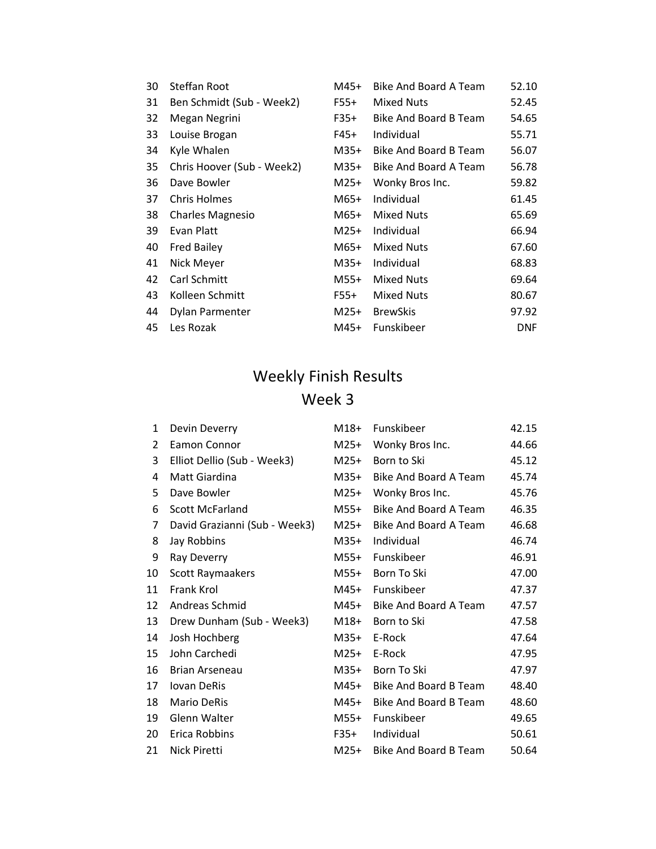| 30 | Steffan Root               | M45+   | Bike And Board A Team | 52.10      |
|----|----------------------------|--------|-----------------------|------------|
| 31 | Ben Schmidt (Sub - Week2)  | F55+   | <b>Mixed Nuts</b>     | 52.45      |
| 32 | Megan Negrini              | F35+   | Bike And Board B Team | 54.65      |
| 33 | Louise Brogan              | F45+   | Individual            | 55.71      |
| 34 | Kyle Whalen                | M35+   | Bike And Board B Team | 56.07      |
| 35 | Chris Hoover (Sub - Week2) | $M35+$ | Bike And Board A Team | 56.78      |
| 36 | Dave Bowler                | M25+   | Wonky Bros Inc.       | 59.82      |
| 37 | Chris Holmes               | M65+   | Individual            | 61.45      |
| 38 | <b>Charles Magnesio</b>    | M65+   | <b>Mixed Nuts</b>     | 65.69      |
| 39 | Evan Platt                 | M25+   | Individual            | 66.94      |
| 40 | <b>Fred Bailey</b>         | M65+   | Mixed Nuts            | 67.60      |
| 41 | Nick Meyer                 | M35+   | Individual            | 68.83      |
| 42 | Carl Schmitt               | M55+   | <b>Mixed Nuts</b>     | 69.64      |
| 43 | Kolleen Schmitt            | F55+   | <b>Mixed Nuts</b>     | 80.67      |
| 44 | Dylan Parmenter            | M25+   | <b>BrewSkis</b>       | 97.92      |
| 45 | Les Rozak                  | M45+   | Funskibeer            | <b>DNF</b> |

| 1  | Devin Deverry                 | $M18+$ | Funskibeer            | 42.15 |
|----|-------------------------------|--------|-----------------------|-------|
| 2  | Eamon Connor                  | $M25+$ | Wonky Bros Inc.       | 44.66 |
| 3  | Elliot Dellio (Sub - Week3)   | $M25+$ | Born to Ski           | 45.12 |
| 4  | Matt Giardina                 | $M35+$ | Bike And Board A Team | 45.74 |
| 5  | Dave Bowler                   | $M25+$ | Wonky Bros Inc.       | 45.76 |
| 6  | <b>Scott McFarland</b>        | $M55+$ | Bike And Board A Team | 46.35 |
| 7  | David Grazianni (Sub - Week3) | $M25+$ | Bike And Board A Team | 46.68 |
| 8  | Jay Robbins                   | $M35+$ | Individual            | 46.74 |
| 9  | Ray Deverry                   | M55+   | Funskibeer            | 46.91 |
| 10 | Scott Raymaakers              | M55+   | Born To Ski           | 47.00 |
| 11 | Frank Krol                    | $M45+$ | Funskibeer            | 47.37 |
| 12 | Andreas Schmid                | M45+   | Bike And Board A Team | 47.57 |
| 13 | Drew Dunham (Sub - Week3)     | $M18+$ | Born to Ski           | 47.58 |
| 14 | Josh Hochberg                 | $M35+$ | E-Rock                | 47.64 |
| 15 | John Carchedi                 | $M25+$ | E-Rock                | 47.95 |
| 16 | Brian Arseneau                | M35+   | Born To Ski           | 47.97 |
| 17 | <b>Iovan DeRis</b>            | M45+   | Bike And Board B Team | 48.40 |
| 18 | <b>Mario DeRis</b>            | M45+   | Bike And Board B Team | 48.60 |
| 19 | Glenn Walter                  | M55+   | Funskibeer            | 49.65 |
| 20 | Erica Robbins                 | F35+   | Individual            | 50.61 |
| 21 | Nick Piretti                  | M25+   | Bike And Board B Team | 50.64 |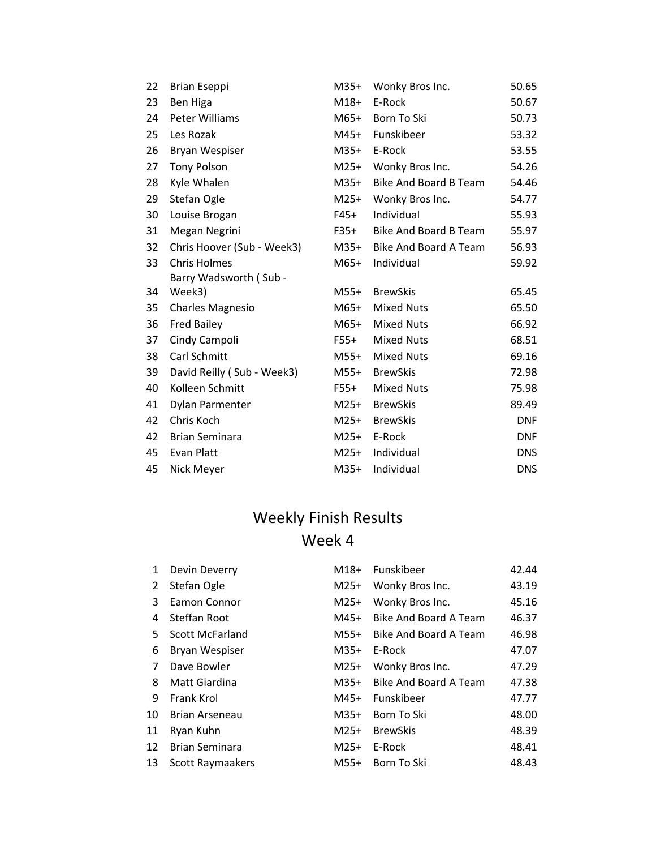| 22 | <b>Brian Eseppi</b>        | $M35+$ | Wonky Bros Inc.       | 50.65      |
|----|----------------------------|--------|-----------------------|------------|
| 23 | Ben Higa                   | $M18+$ | E-Rock                | 50.67      |
| 24 | Peter Williams             | M65+   | Born To Ski           | 50.73      |
| 25 | Les Rozak                  | $M45+$ | Funskibeer            | 53.32      |
| 26 | <b>Bryan Wespiser</b>      | M35+   | E-Rock                | 53.55      |
| 27 | <b>Tony Polson</b>         | $M25+$ | Wonky Bros Inc.       | 54.26      |
| 28 | Kyle Whalen                | M35+   | Bike And Board B Team | 54.46      |
| 29 | Stefan Ogle                | $M25+$ | Wonky Bros Inc.       | 54.77      |
| 30 | Louise Brogan              | $F45+$ | Individual            | 55.93      |
| 31 | Megan Negrini              | F35+   | Bike And Board B Team | 55.97      |
| 32 | Chris Hoover (Sub - Week3) | M35+   | Bike And Board A Team | 56.93      |
| 33 | <b>Chris Holmes</b>        | $M65+$ | Individual            | 59.92      |
|    | Barry Wadsworth (Sub -     |        |                       |            |
| 34 | Week3)                     | $M55+$ | <b>BrewSkis</b>       | 65.45      |
| 35 | <b>Charles Magnesio</b>    | M65+   | <b>Mixed Nuts</b>     | 65.50      |
| 36 | <b>Fred Bailey</b>         | M65+   | <b>Mixed Nuts</b>     | 66.92      |
| 37 | Cindy Campoli              | F55+   | <b>Mixed Nuts</b>     | 68.51      |
| 38 | Carl Schmitt               | M55+   | <b>Mixed Nuts</b>     | 69.16      |
| 39 | David Reilly (Sub - Week3) | M55+   | <b>BrewSkis</b>       | 72.98      |
| 40 | Kolleen Schmitt            | $F55+$ | <b>Mixed Nuts</b>     | 75.98      |
| 41 | Dylan Parmenter            | M25+   | <b>BrewSkis</b>       | 89.49      |
| 42 | Chris Koch                 | $M25+$ | <b>BrewSkis</b>       | <b>DNF</b> |
| 42 | <b>Brian Seminara</b>      | M25+   | E-Rock                | <b>DNF</b> |
| 45 | Evan Platt                 | $M25+$ | Individual            | <b>DNS</b> |
| 45 | Nick Meyer                 | $M35+$ | Individual            | <b>DNS</b> |

| $\mathbf{1}$ | Devin Deverry          | $M18+$ | Funskibeer            | 42.44 |
|--------------|------------------------|--------|-----------------------|-------|
| 2            | Stefan Ogle            | $M25+$ | Wonky Bros Inc.       | 43.19 |
| 3            | Eamon Connor           | $M25+$ | Wonky Bros Inc.       | 45.16 |
| 4            | Steffan Root           | M45+   | Bike And Board A Team | 46.37 |
| 5.           | <b>Scott McFarland</b> | M55+   | Bike And Board A Team | 46.98 |
| 6            | Bryan Wespiser         | $M35+$ | E-Rock                | 47.07 |
| 7            | Dave Bowler            | $M25+$ | Wonky Bros Inc.       | 47.29 |
| 8            | Matt Giardina          | M35+   | Bike And Board A Team | 47.38 |
| 9            | Frank Krol             | M45+   | Funskibeer            | 47.77 |
| 10           | <b>Brian Arseneau</b>  | $M35+$ | Born To Ski           | 48.00 |
| 11           | Ryan Kuhn              | $M25+$ | <b>BrewSkis</b>       | 48.39 |
| 12           | <b>Brian Seminara</b>  | $M25+$ | E-Rock                | 48.41 |
| 13           | Scott Raymaakers       | $M55+$ | Born To Ski           | 48.43 |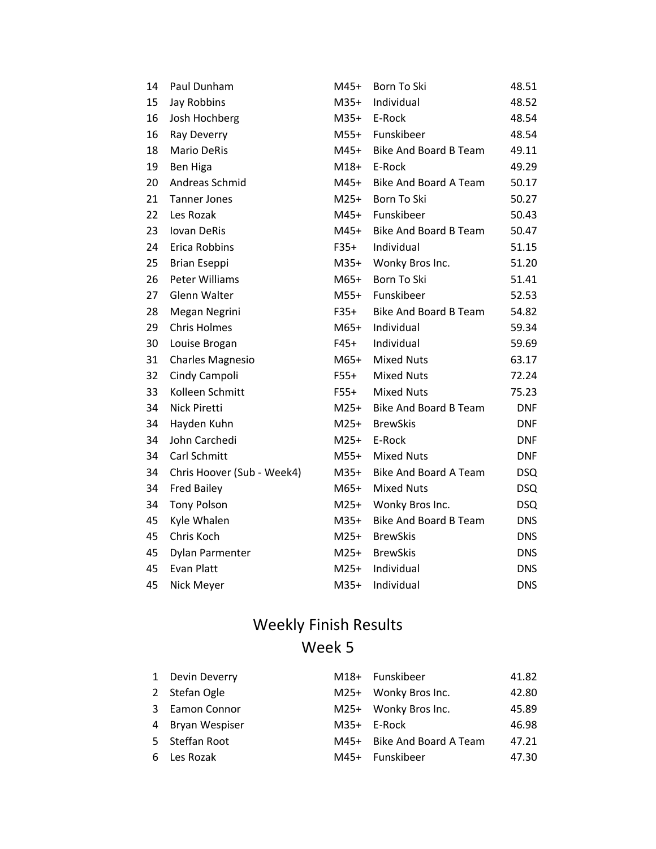| 14 | Paul Dunham                | $M45+$ | Born To Ski                  | 48.51      |
|----|----------------------------|--------|------------------------------|------------|
| 15 | Jay Robbins                | $M35+$ | Individual                   | 48.52      |
| 16 | Josh Hochberg              | $M35+$ | E-Rock                       | 48.54      |
| 16 | Ray Deverry                | $M55+$ | Funskibeer                   | 48.54      |
| 18 | <b>Mario DeRis</b>         | M45+   | <b>Bike And Board B Team</b> | 49.11      |
| 19 | Ben Higa                   | $M18+$ | E-Rock                       | 49.29      |
| 20 | Andreas Schmid             | M45+   | <b>Bike And Board A Team</b> | 50.17      |
| 21 | <b>Tanner Jones</b>        | M25+   | Born To Ski                  | 50.27      |
| 22 | Les Rozak                  | M45+   | Funskibeer                   | 50.43      |
| 23 | <b>Iovan DeRis</b>         | M45+   | <b>Bike And Board B Team</b> | 50.47      |
| 24 | Erica Robbins              | F35+   | Individual                   | 51.15      |
| 25 | <b>Brian Eseppi</b>        | $M35+$ | Wonky Bros Inc.              | 51.20      |
| 26 | <b>Peter Williams</b>      | M65+   | Born To Ski                  | 51.41      |
| 27 | Glenn Walter               | M55+   | Funskibeer                   | 52.53      |
| 28 | Megan Negrini              | $F35+$ | <b>Bike And Board B Team</b> | 54.82      |
| 29 | <b>Chris Holmes</b>        | M65+   | Individual                   | 59.34      |
| 30 | Louise Brogan              | $F45+$ | Individual                   | 59.69      |
| 31 | <b>Charles Magnesio</b>    | $M65+$ | <b>Mixed Nuts</b>            | 63.17      |
| 32 | Cindy Campoli              | $F55+$ | <b>Mixed Nuts</b>            | 72.24      |
| 33 | Kolleen Schmitt            | F55+   | <b>Mixed Nuts</b>            | 75.23      |
| 34 | Nick Piretti               | $M25+$ | Bike And Board B Team        | <b>DNF</b> |
| 34 | Hayden Kuhn                | $M25+$ | <b>BrewSkis</b>              | <b>DNF</b> |
| 34 | John Carchedi              | $M25+$ | E-Rock                       | <b>DNF</b> |
| 34 | Carl Schmitt               | $M55+$ | <b>Mixed Nuts</b>            | <b>DNF</b> |
| 34 | Chris Hoover (Sub - Week4) | $M35+$ | <b>Bike And Board A Team</b> | <b>DSQ</b> |
| 34 | <b>Fred Bailey</b>         | M65+   | <b>Mixed Nuts</b>            | <b>DSQ</b> |
| 34 | <b>Tony Polson</b>         | $M25+$ | Wonky Bros Inc.              | <b>DSQ</b> |
| 45 | Kyle Whalen                | $M35+$ | <b>Bike And Board B Team</b> | <b>DNS</b> |
| 45 | Chris Koch                 | $M25+$ | <b>BrewSkis</b>              | <b>DNS</b> |
| 45 | Dylan Parmenter            | $M25+$ | <b>BrewSkis</b>              | <b>DNS</b> |
| 45 | <b>Evan Platt</b>          | $M25+$ | Individual                   | <b>DNS</b> |
| 45 | Nick Meyer                 | $M35+$ | Individual                   | <b>DNS</b> |

|    | 1 Devin Deverry  |        | M18+ Funskibeer       | 41.82 |
|----|------------------|--------|-----------------------|-------|
|    | 2 Stefan Ogle    |        | M25+ Wonky Bros Inc.  | 42.80 |
|    | 3 Eamon Connor   |        | M25+ Wonky Bros Inc.  | 45.89 |
|    | 4 Bryan Wespiser | $M35+$ | E-Rock                | 46.98 |
|    | 5 Steffan Root   | M45+   | Bike And Board A Team | 47.21 |
| 6. | Les Rozak        | M45+   | Funskibeer            | 47.30 |
|    |                  |        |                       |       |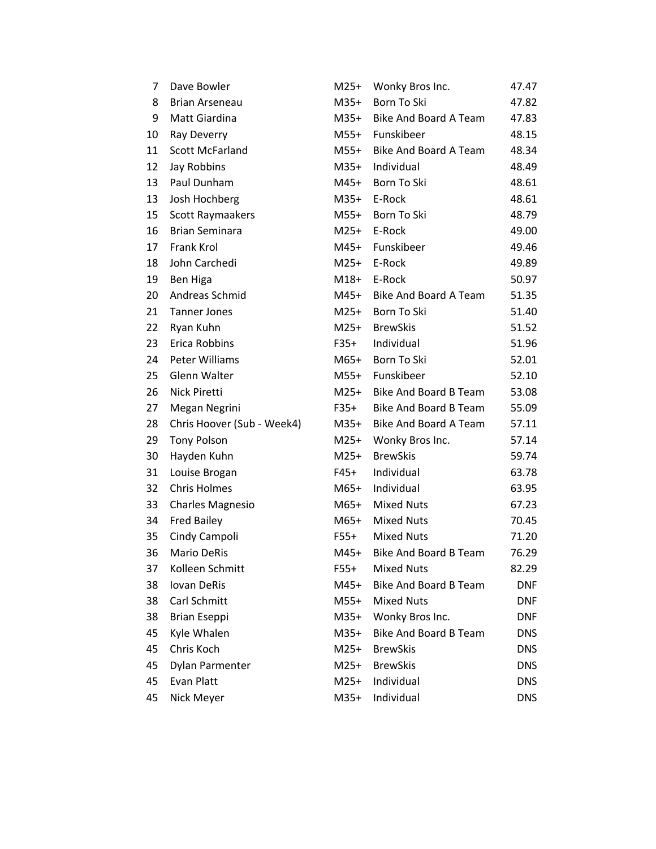| 7  | Dave Bowler                | M25+   | Wonky Bros Inc.              | 47.47      |
|----|----------------------------|--------|------------------------------|------------|
| 8  | <b>Brian Arseneau</b>      | M35+   | Born To Ski                  | 47.82      |
| 9  | Matt Giardina              | M35+   | Bike And Board A Team        | 47.83      |
| 10 | Ray Deverry                | M55+   | Funskibeer                   | 48.15      |
| 11 | <b>Scott McFarland</b>     | M55+   | Bike And Board A Team        | 48.34      |
| 12 | Jay Robbins                | M35+   | Individual                   | 48.49      |
| 13 | Paul Dunham                | M45+   | Born To Ski                  | 48.61      |
| 13 | Josh Hochberg              | M35+   | E-Rock                       | 48.61      |
| 15 | Scott Raymaakers           | M55+   | Born To Ski                  | 48.79      |
| 16 | <b>Brian Seminara</b>      | M25+   | E-Rock                       | 49.00      |
| 17 | Frank Krol                 | M45+   | Funskibeer                   | 49.46      |
| 18 | John Carchedi              | M25+   | E-Rock                       | 49.89      |
| 19 | Ben Higa                   | M18+   | E-Rock                       | 50.97      |
| 20 | Andreas Schmid             | M45+   | Bike And Board A Team        | 51.35      |
| 21 | <b>Tanner Jones</b>        | $M25+$ | Born To Ski                  | 51.40      |
| 22 | Ryan Kuhn                  | M25+   | <b>BrewSkis</b>              | 51.52      |
| 23 | Erica Robbins              | F35+   | Individual                   | 51.96      |
| 24 | Peter Williams             | M65+   | Born To Ski                  | 52.01      |
| 25 | Glenn Walter               | M55+   | Funskibeer                   | 52.10      |
| 26 | Nick Piretti               | M25+   | <b>Bike And Board B Team</b> | 53.08      |
| 27 | Megan Negrini              | F35+   | Bike And Board B Team        | 55.09      |
| 28 | Chris Hoover (Sub - Week4) | M35+   | Bike And Board A Team        | 57.11      |
| 29 | <b>Tony Polson</b>         | $M25+$ | Wonky Bros Inc.              | 57.14      |
| 30 | Hayden Kuhn                | M25+   | <b>BrewSkis</b>              | 59.74      |
| 31 | Louise Brogan              | F45+   | Individual                   | 63.78      |
| 32 | <b>Chris Holmes</b>        | M65+   | Individual                   | 63.95      |
| 33 | <b>Charles Magnesio</b>    | M65+   | <b>Mixed Nuts</b>            | 67.23      |
| 34 | <b>Fred Bailey</b>         | M65+   | <b>Mixed Nuts</b>            | 70.45      |
| 35 | Cindy Campoli              | F55+   | <b>Mixed Nuts</b>            | 71.20      |
| 36 | <b>Mario DeRis</b>         | $M45+$ | <b>Bike And Board B Team</b> | 76.29      |
| 37 | Kolleen Schmitt            | $F55+$ | <b>Mixed Nuts</b>            | 82.29      |
| 38 | Iovan DeRis                | M45+   | <b>Bike And Board B Team</b> | <b>DNF</b> |
| 38 | Carl Schmitt               | $M55+$ | <b>Mixed Nuts</b>            | <b>DNF</b> |
| 38 | <b>Brian Eseppi</b>        | $M35+$ | Wonky Bros Inc.              | <b>DNF</b> |
| 45 | Kyle Whalen                | M35+   | <b>Bike And Board B Team</b> | <b>DNS</b> |
| 45 | Chris Koch                 | $M25+$ | <b>BrewSkis</b>              | <b>DNS</b> |
| 45 | Dylan Parmenter            | $M25+$ | <b>BrewSkis</b>              | <b>DNS</b> |
| 45 | Evan Platt                 | $M25+$ | Individual                   | <b>DNS</b> |
| 45 | Nick Meyer                 | M35+   | Individual                   | <b>DNS</b> |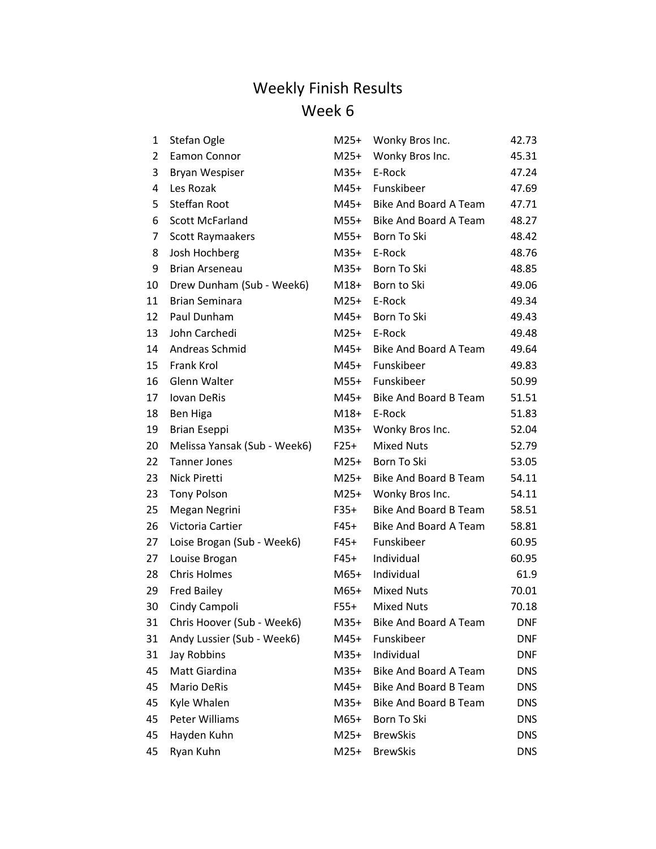| 1              | Stefan Ogle                  | $M25+$ | Wonky Bros Inc.              | 42.73      |
|----------------|------------------------------|--------|------------------------------|------------|
| $\overline{2}$ | Eamon Connor                 | $M25+$ | Wonky Bros Inc.              | 45.31      |
| 3              | Bryan Wespiser               | $M35+$ | E-Rock                       | 47.24      |
| 4              | Les Rozak                    | $M45+$ | Funskibeer                   | 47.69      |
| 5              | <b>Steffan Root</b>          | M45+   | Bike And Board A Team        | 47.71      |
| 6              | <b>Scott McFarland</b>       | M55+   | Bike And Board A Team        | 48.27      |
| 7              | Scott Raymaakers             | M55+   | Born To Ski                  | 48.42      |
| 8              | Josh Hochberg                | $M35+$ | E-Rock                       | 48.76      |
| 9              | Brian Arseneau               | $M35+$ | Born To Ski                  | 48.85      |
| 10             | Drew Dunham (Sub - Week6)    | M18+   | Born to Ski                  | 49.06      |
| 11             | <b>Brian Seminara</b>        | $M25+$ | E-Rock                       | 49.34      |
| 12             | Paul Dunham                  | M45+   | Born To Ski                  | 49.43      |
| 13             | John Carchedi                | $M25+$ | E-Rock                       | 49.48      |
| 14             | Andreas Schmid               | M45+   | <b>Bike And Board A Team</b> | 49.64      |
| 15             | Frank Krol                   | M45+   | Funskibeer                   | 49.83      |
| 16             | Glenn Walter                 | $M55+$ | Funskibeer                   | 50.99      |
| 17             | Iovan DeRis                  | M45+   | Bike And Board B Team        | 51.51      |
| 18             | Ben Higa                     | $M18+$ | E-Rock                       | 51.83      |
| 19             | <b>Brian Eseppi</b>          | $M35+$ | Wonky Bros Inc.              | 52.04      |
| 20             | Melissa Yansak (Sub - Week6) | $F25+$ | <b>Mixed Nuts</b>            | 52.79      |
| 22             | <b>Tanner Jones</b>          | $M25+$ | Born To Ski                  | 53.05      |
| 23             | Nick Piretti                 | $M25+$ | Bike And Board B Team        | 54.11      |
| 23             | <b>Tony Polson</b>           | $M25+$ | Wonky Bros Inc.              | 54.11      |
| 25             | Megan Negrini                | F35+   | <b>Bike And Board B Team</b> | 58.51      |
| 26             | Victoria Cartier             | F45+   | Bike And Board A Team        | 58.81      |
| 27             | Loise Brogan (Sub - Week6)   | F45+   | Funskibeer                   | 60.95      |
| 27             | Louise Brogan                | $F45+$ | Individual                   | 60.95      |
| 28             | <b>Chris Holmes</b>          | M65+   | Individual                   | 61.9       |
| 29             | <b>Fred Bailey</b>           | M65+   | <b>Mixed Nuts</b>            | 70.01      |
| 30             | Cindy Campoli                | $F55+$ | <b>Mixed Nuts</b>            | 70.18      |
| 31             | Chris Hoover (Sub - Week6)   | M35+   | <b>Bike And Board A Team</b> | DNF        |
| 31             | Andy Lussier (Sub - Week6)   | M45+   | Funskibeer                   | <b>DNF</b> |
| 31             | Jay Robbins                  | $M35+$ | Individual                   | <b>DNF</b> |
| 45             | Matt Giardina                | $M35+$ | <b>Bike And Board A Team</b> | <b>DNS</b> |
| 45             | Mario DeRis                  | M45+   | Bike And Board B Team        | <b>DNS</b> |
| 45             | Kyle Whalen                  | $M35+$ | <b>Bike And Board B Team</b> | <b>DNS</b> |
| 45             | <b>Peter Williams</b>        | M65+   | Born To Ski                  | <b>DNS</b> |
| 45             | Hayden Kuhn                  | $M25+$ | <b>BrewSkis</b>              | <b>DNS</b> |
| 45             | Ryan Kuhn                    | M25+   | <b>BrewSkis</b>              | <b>DNS</b> |